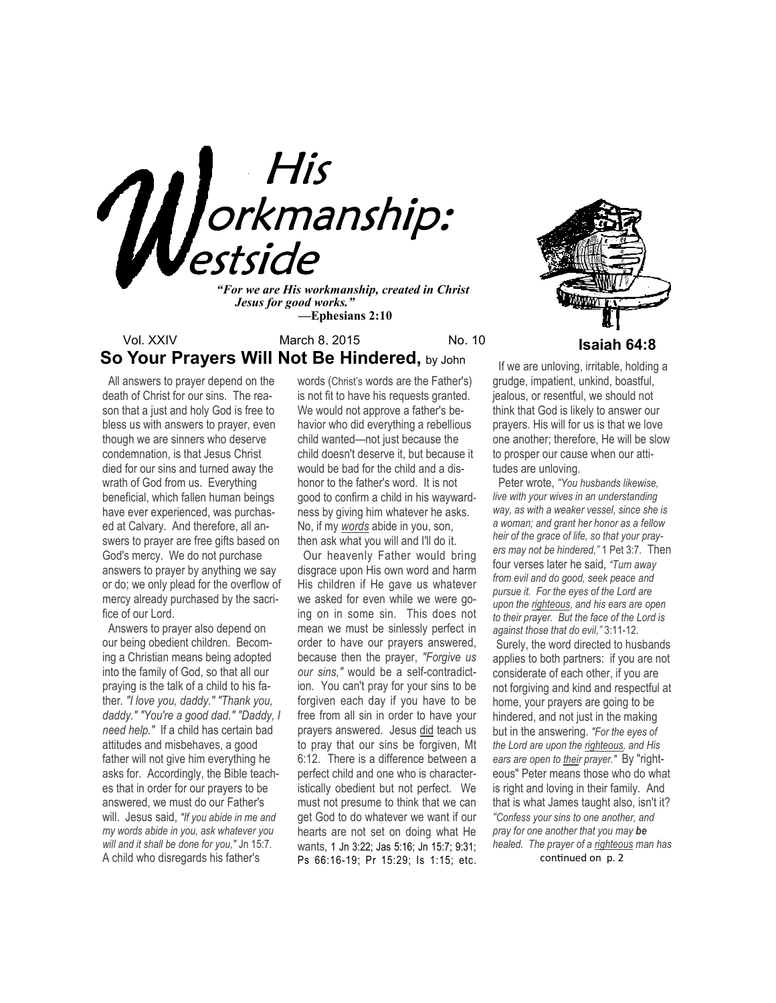

*"For we are His workmanship, created in Christ Jesus for good works." —***Ephesians 2:10**

## Vol. XXIV March 8, 2015 No. 10<br> **Isaiah 64:8 So Your Prayers Will Not Be Hindered, by John**

 All answers to prayer depend on the death of Christ for our sins. The reason that a just and holy God is free to bless us with answers to prayer, even though we are sinners who deserve condemnation, is that Jesus Christ died for our sins and turned away the wrath of God from us. Everything beneficial, which fallen human beings have ever experienced, was purchased at Calvary. And therefore, all answers to prayer are free gifts based on God's mercy. We do not purchase answers to prayer by anything we say or do; we only plead for the overflow of mercy already purchased by the sacrifice of our Lord.

 Answers to prayer also depend on our being obedient children. Becoming a Christian means being adopted into the family of God, so that all our praying is the talk of a child to his father*. "I love you, daddy." "Thank you, daddy." "You're a good dad." "Daddy, I need help."* If a child has certain bad attitudes and misbehaves, a good father will not give him everything he asks for. Accordingly, the Bible teaches that in order for our prayers to be answered, we must do our Father's will. Jesus said, *"If you abide in me and my words abide in you, ask whatever you will and it shall be done for you,"* Jn 15:7. A child who disregards his father's

words (Christ's words are the Father's) is not fit to have his requests granted. We would not approve a father's behavior who did everything a rebellious child wanted—not just because the child doesn't deserve it, but because it would be bad for the child and a dishonor to the father's word. It is not good to confirm a child in his waywardness by giving him whatever he asks. No, if my *words* abide in you, son, then ask what you will and I'll do it.

 Our heavenly Father would bring disgrace upon His own word and harm His children if He gave us whatever we asked for even while we were going on in some sin. This does not mean we must be sinlessly perfect in order to have our prayers answered, because then the prayer, *"Forgive us our sins,"* would be a self-contradiction. You can't pray for your sins to be forgiven each day if you have to be free from all sin in order to have your prayers answered. Jesus did teach us to pray that our sins be forgiven, Mt 6:12. There is a difference between a perfect child and one who is characteristically obedient but not perfect. We must not presume to think that we can get God to do whatever we want if our hearts are not set on doing what He wants, 1 Jn 3:22; Jas 5:16; Jn 15:7; 9:31; Ps 66:16-19; Pr 15:29; Is 1:15; etc.



 If we are unloving, irritable, holding a grudge, impatient, unkind, boastful, jealous, or resentful, we should not think that God is likely to answer our prayers. His will for us is that we love one another; therefore, He will be slow to prosper our cause when our attitudes are unloving.

 Peter wrote, *"You husbands likewise, live with your wives in an understanding way, as with a weaker vessel, since she is a woman; and grant her honor as a fellow heir of the grace of life, so that your prayers may not be hindered,"* 1 Pet 3:7. Then four verses later he said, *"Turn away from evil and do good, seek peace and pursue it. For the eyes of the Lord are upon the righteous, and his ears are open to their prayer. But the face of the Lord is against those that do evil,"* 3:11-12. Surely, the word directed to husbands applies to both partners: if you are not considerate of each other, if you are not forgiving and kind and respectful at home, your prayers are going to be hindered, and not just in the making but in the answering. *"For the eyes of the Lord are upon the righteous, and His ears are open to their prayer."* By "righteous" Peter means those who do what is right and loving in their family. And that is what James taught also, isn't it? *"Confess your sins to one another, and pray for one another that you may be healed. The prayer of a righteous man has* 

continued on p. 2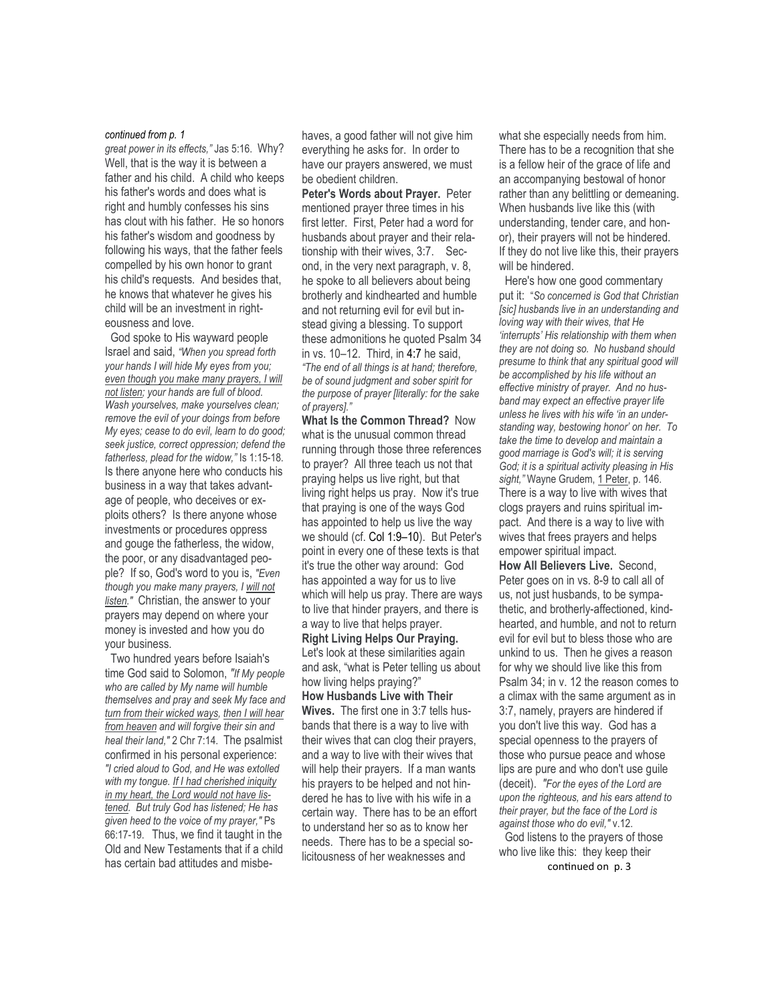#### *continued from p. 1*

*great power in its effects,"* Jas 5:16. Why? Well, that is the way it is between a father and his child. A child who keeps his father's words and does what is right and humbly confesses his sins has clout with his father. He so honors his father's wisdom and goodness by following his ways, that the father feels compelled by his own honor to grant his child's requests. And besides that, he knows that whatever he gives his child will be an investment in righteousness and love.

 God spoke to His wayward people Israel and said, *"When you spread forth your hands I will hide My eyes from you; even though you make many prayers, I will not listen; your hands are full of blood. Wash yourselves, make yourselves clean; remove the evil of your doings from before My eyes; cease to do evil, learn to do good; seek justice, correct oppression; defend the fatherless, plead for the widow,"* Is 1:15-18. Is there anyone here who conducts his business in a way that takes advantage of people, who deceives or exploits others? Is there anyone whose investments or procedures oppress and gouge the fatherless, the widow, the poor, or any disadvantaged people? If so, God's word to you is, *"Even though you make many prayers, I will not listen."* Christian, the answer to your prayers may depend on where your money is invested and how you do your business.

 Two hundred years before Isaiah's time God said to Solomon, *"If My people who are called by My name will humble themselves and pray and seek My face and turn from their wicked ways, then I will hear from heaven and will forgive their sin and heal their land,"* 2 Chr 7:14. The psalmist confirmed in his personal experience: *"I cried aloud to God, and He was extolled with my tongue. If I had cherished iniquity in my heart, the Lord would not have listened. But truly God has listened; He has given heed to the voice of my prayer,"* Ps 66:17-19. Thus, we find it taught in the Old and New Testaments that if a child has certain bad attitudes and misbehaves, a good father will not give him everything he asks for. In order to have our prayers answered, we must be obedient children.

**Peter's Words about Prayer.** Peter mentioned prayer three times in his first letter. First, Peter had a word for husbands about prayer and their relationship with their wives, 3:7. Second, in the very next paragraph, v. 8, he spoke to all believers about being brotherly and kindhearted and humble and not returning evil for evil but instead giving a blessing. To support these admonitions he quoted Psalm 34 in vs. 10–12. Third, in 4:7 he said, *"The end of all things is at hand; therefore, be of sound judgment and sober spirit for the purpose of prayer [literally: for the sake of prayers]."* 

**What Is the Common Thread?** Now what is the unusual common thread running through those three references to prayer? All three teach us not that praying helps us live right, but that living right helps us pray. Now it's true that praying is one of the ways God has appointed to help us live the way we should (cf. Col 1:9–10). But Peter's point in every one of these texts is that it's true the other way around: God has appointed a way for us to live which will help us pray. There are ways to live that hinder prayers, and there is a way to live that helps prayer. **Right Living Helps Our Praying.**  Let's look at these similarities again and ask, "what is Peter telling us about how living helps praying?" **How Husbands Live with Their Wives.** The first one in 3:7 tells husbands that there is a way to live with their wives that can clog their prayers, and a way to live with their wives that will help their prayers. If a man wants his prayers to be helped and not hindered he has to live with his wife in a certain way. There has to be an effort to understand her so as to know her needs. There has to be a special so-

licitousness of her weaknesses and

what she especially needs from him. There has to be a recognition that she is a fellow heir of the grace of life and an accompanying bestowal of honor rather than any belittling or demeaning. When husbands live like this (with understanding, tender care, and honor), their prayers will not be hindered. If they do not live like this, their prayers will be hindered.

 Here's how one good commentary put it: "*So concerned is God that Christian [sic] husbands live in an understanding and loving way with their wives, that He 'interrupts' His relationship with them when they are not doing so. No husband should presume to think that any spiritual good will be accomplished by his life without an effective ministry of prayer. And no husband may expect an effective prayer life unless he lives with his wife 'in an understanding way, bestowing honor' on her. To take the time to develop and maintain a good marriage is God's will; it is serving God; it is a spiritual activity pleasing in His*  sight," Wayne Grudem, 1 Peter, p. 146. There is a way to live with wives that clogs prayers and ruins spiritual impact. And there is a way to live with wives that frees prayers and helps empower spiritual impact. **How All Believers Live.** Second,

Peter goes on in vs. 8-9 to call all of us, not just husbands, to be sympathetic, and brotherly-affectioned, kindhearted, and humble, and not to return evil for evil but to bless those who are unkind to us. Then he gives a reason for why we should live like this from Psalm 34; in v. 12 the reason comes to a climax with the same argument as in 3:7, namely, prayers are hindered if you don't live this way. God has a special openness to the prayers of those who pursue peace and whose lips are pure and who don't use guile (deceit). *"For the eyes of the Lord are upon the righteous, and his ears attend to their prayer, but the face of the Lord is against those who do evil,"* v.12. God listens to the prayers of those who live like this: they keep their

continued on p. 3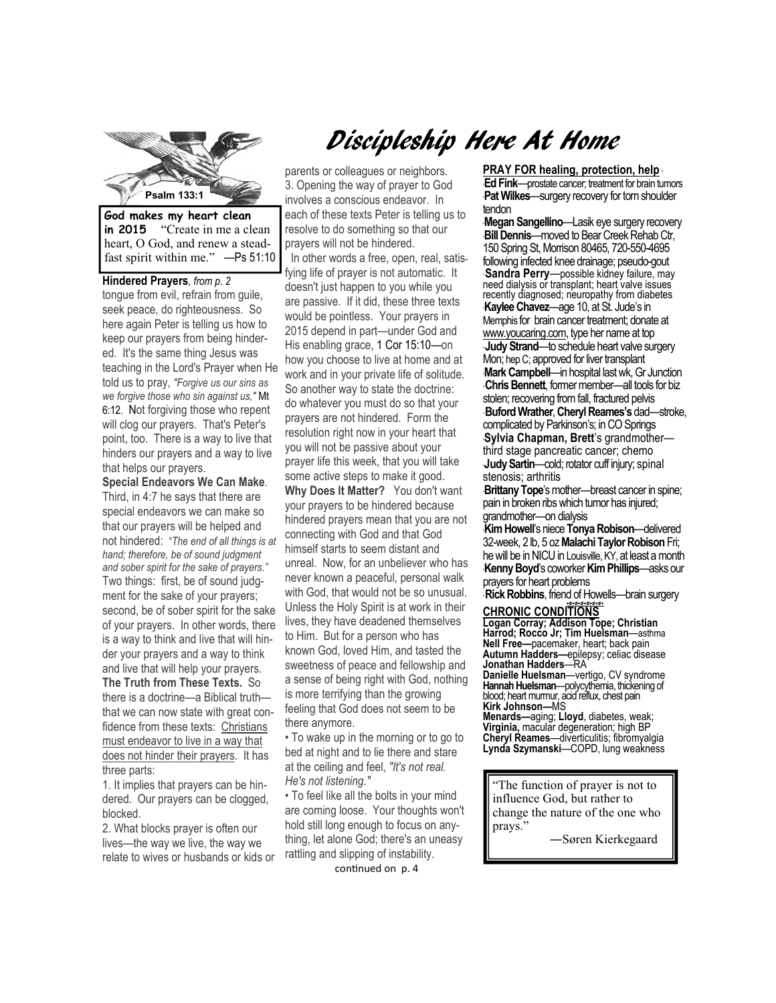

**in 2015** "Create in me a clean heart, O God, and renew a steadfast spirit within me." —Ps 51:10

**Hindered Prayers***, from p. 2*  tongue from evil, refrain from guile, seek peace, do righteousness. So here again Peter is telling us how to keep our prayers from being hindered. It's the same thing Jesus was teaching in the Lord's Prayer when He told us to pray, *"Forgive us our sins as we forgive those who sin against us,"* Mt 6:12. Not forgiving those who repent will clog our prayers. That's Peter's point, too. There is a way to live that hinders our prayers and a way to live that helps our prayers.

**Special Endeavors We Can Make**. Third, in 4:7 he says that there are special endeavors we can make so that our prayers will be helped and not hindered: "*The end of all things is at hand; therefore, be of sound judgment and sober spirit for the sake of prayers."*  Two things: first, be of sound judgment for the sake of your prayers; second, be of sober spirit for the sake of your prayers. In other words, there is a way to think and live that will hinder your prayers and a way to think and live that will help your prayers. **The Truth from These Texts.** So there is a doctrine—a Biblical truth that we can now state with great confidence from these texts: Christians must endeavor to live in a way that does not hinder their prayers. It has three parts:

1. It implies that prayers can be hindered. Our prayers can be clogged, blocked.

2. What blocks prayer is often our lives—the way we live, the way we relate to wives or husbands or kids or

# Discipleship Here At Home

parents or colleagues or neighbors. 3. Opening the way of prayer to God involves a conscious endeavor. In each of these texts Peter is telling us to resolve to do something so that our prayers will not be hindered. In other words a free, open, real, satisfying life of prayer is not automatic. It doesn't just happen to you while you are passive. If it did, these three texts would be pointless. Your prayers in 2015 depend in part—under God and His enabling grace, 1 Cor 15:10—on how you choose to live at home and at work and in your private life of solitude. So another way to state the doctrine: do whatever you must do so that your prayers are not hindered. Form the resolution right now in your heart that you will not be passive about your prayer life this week, that you will take some active steps to make it good. **Why Does It Matter?** You don't want your prayers to be hindered because hindered prayers mean that you are not connecting with God and that God himself starts to seem distant and unreal.Now, for an unbeliever who has never known a peaceful, personal walk with God, that would not be so unusual. Unless the Holy Spirit is at work in their lives, they have deadened themselves to Him. But for a person who has known God, loved Him, and tasted the sweetness of peace and fellowship and a sense of being right with God, nothing is more terrifying than the growing feeling that God does not seem to be there anymore.

• To wake up in the morning or to go to bed at night and to lie there and stare at the ceiling and feel, *"It's not real. He's not listening."* 

• To feel like all the bolts in your mind are coming loose. Your thoughts won't hold still long enough to focus on anything, let alone God; there's an uneasy rattling and slipping of instability. continued on p. 4

**PRAY FOR healing, protection, help** \* \***Ed Fink**—prostate cancer; treatment for brain tumors **Pat Wilkes—surgery recovery for torn shoulder** tendon

**Psandra Perry—possible kidney failure, may** \***Megan Sangellino**—Lasik eye surgery recovery \***Bill Dennis**—moved to Bear Creek Rehab Ctr, 150 Spring St, Morrison 80465, 720-550-4695 following infected knee drainage; pseudo-gout need dialysis or transplant; heart valve issues recently diagnosed; neuropathy from diabetes \***Kaylee Chavez**—age 10, at St. Jude's in Memphis for brain cancer treatment; donate at www.youcaring.com, type her name at top \* **Judy Strand**—to schedule heart valve surgery Mon; hep C; approved for liver transplant \***Mark Campbell**—in hospital last wk, Gr Junction \* **Chris Bennett**, former member—all tools for biz stolen; recovering from fall, fractured pelvis \* **Buford Wrather**, **Cheryl Reames's** dad—stroke, complicated by Parkinson's; in CO Springs \***Sylvia Chapman, Brett**'s grandmother third stage pancreatic cancer; chemo \***Judy Sartin**—cold; rotator cuff injury; spinal stenosis; arthritis

\***Brittany Tope**'s mother—breast cancer in spine; pain in broken ribs which tumor has injured; grandmother—on dialysis

\***Kim Howell**'s niece **Tonya Robison**—delivered 32-week, 2 lb, 5 oz **Malachi Taylor Robison** Fri; he will be in NICU in Louisville, KY, at least a month \***Kenny Boyd**'s coworker **Kim Phillips**—asks our prayers for heart problems

**Rick Robbins**, friend of Howells—brain surgery *+#+#+#+#+#+#+*  **CHRONIC CONDITIONS** 

**Logan Corray; Addison Tope; Christian Harrod; Rocco Jr; Tim Huelsman**—asthma **Nell Free—**pacemaker, heart; back pain **Autumn Hadders—**epilepsy; celiac disease **Jonathan Hadders**—RA **Danielle Huelsman**—vertigo, CV syndrome **Hannah Huelsman**—polycythemia, thickening of blood; heart murmur, acid reflux, chest pain

**Kirk Johnson—**MS **Menards—**aging; **Lloyd**, diabetes, weak; **Virginia,** macular degeneration; high BP **Cheryl Reames**—diverticulitis; fibromyalgia **Lynda Szymanski**—COPD, lung weakness

"The function of prayer is not to influence God, but rather to change the nature of the one who prays.'

―Søren Kierkegaard